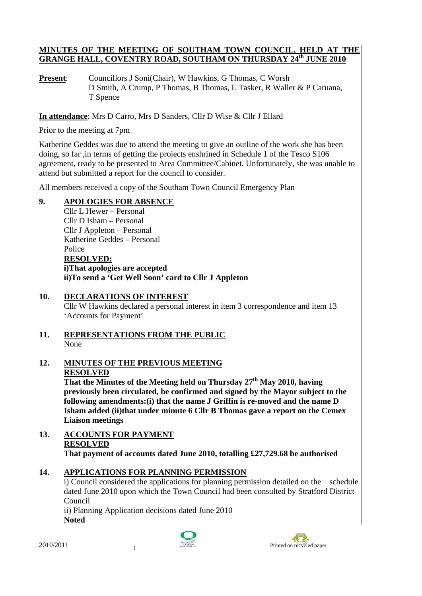#### **MINUTES OF THE MEETING OF SOUTHAM TOWN COUNCIL, HELD AT THE GRANGE HALL, COVENTRY ROAD, SOUTHAM ON THURSDAY 24th JUNE 2010**

**Present:** Councillors J Soni(Chair), W Hawkins, G Thomas, C Worsh D Smith, A Crump, P Thomas, B Thomas, L Tasker, R Waller & P Caruana, T Spence

**In attendance**: Mrs D Carro, Mrs D Sanders, Cllr D Wise & Cllr J Ellard

Prior to the meeting at 7pm

Katherine Geddes was due to attend the meeting to give an outline of the work she has been doing, so far ,in terms of getting the projects enshrined in Schedule 1 of the Tesco S106 agreement, ready to be presented to Area Committee/Cabinet. Unfortunately, she was unable to attend but submitted a report for the council to consider.

All members received a copy of the Southam Town Council Emergency Plan

## **9. APOLOGIES FOR ABSENCE**

Cllr L Hewer – Personal Cllr D Isham – Personal Cllr J Appleton – Personal Katherine Geddes – Personal Police **RESOLVED: i)That apologies are accepted ii)To send a 'Get Well Soon' card to Cllr J Appleton** 

## **10. DECLARATIONS OF INTEREST**

Cllr W Hawkins declared a personal interest in item 3 correspondence and item 13 'Accounts for Payment'

#### **11. REPRESENTATIONS FROM THE PUBLIC** None

**12. MINUTES OF THE PREVIOUS MEETING RESOLVED** 

That the Minutes of the Meeting held on Thursday 27<sup>th</sup> May 2010, having **previously been circulated, be confirmed and signed by the Mayor subject to the following amendments:(i) that the name J Griffin is re-moved and the name D Isham added (ii)that under minute 6 Cllr B Thomas gave a report on the Cemex Liaison meetings** 

**13. ACCOUNTS FOR PAYMENT RESOLVED That payment of accounts dated June 2010, totalling £27,729.68 be authorised** 

## **14. APPLICATIONS FOR PLANNING PERMISSION**

i) Council considered the applications for planning permission detailed on the schedule dated June 2010 upon which the Town Council had been consulted by Stratford District Council

ii) Planning Application decisions dated June 2010 **Noted** 



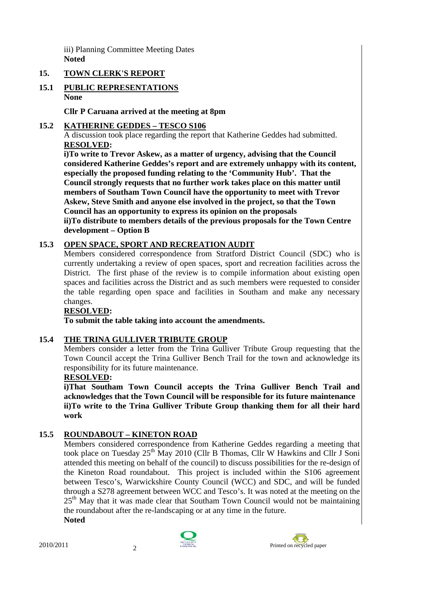iii) Planning Committee Meeting Dates **Noted** 

#### **15. TOWN CLERK'S REPORT**

#### **15.1 PUBLIC REPRESENTATIONS None**

**Cllr P Caruana arrived at the meeting at 8pm** 

#### **15.2 KATHERINE GEDDES – TESCO S106**

A discussion took place regarding the report that Katherine Geddes had submitted. **RESOLVED:**

**i)To write to Trevor Askew, as a matter of urgency, advising that the Council considered Katherine Geddes's report and are extremely unhappy with its content, especially the proposed funding relating to the 'Community Hub'. That the Council strongly requests that no further work takes place on this matter until members of Southam Town Council have the opportunity to meet with Trevor Askew, Steve Smith and anyone else involved in the project, so that the Town Council has an opportunity to express its opinion on the proposals ii)To distribute to members details of the previous proposals for the Town Centre development – Option B** 

## **15.3 OPEN SPACE, SPORT AND RECREATION AUDIT**

Members considered correspondence from Stratford District Council (SDC) who is currently undertaking a review of open spaces, sport and recreation facilities across the District. The first phase of the review is to compile information about existing open spaces and facilities across the District and as such members were requested to consider the table regarding open space and facilities in Southam and make any necessary changes.

## **RESOLVED:**

 **To submit the table taking into account the amendments.** 

## **15.4 THE TRINA GULLIVER TRIBUTE GROUP**

Members consider a letter from the Trina Gulliver Tribute Group requesting that the Town Council accept the Trina Gulliver Bench Trail for the town and acknowledge its responsibility for its future maintenance.

#### **RESOLVED:**

**i)That Southam Town Council accepts the Trina Gulliver Bench Trail and acknowledges that the Town Council will be responsible for its future maintenance ii)To write to the Trina Gulliver Tribute Group thanking them for all their hard work** 

## **15.5 ROUNDABOUT – KINETON ROAD**

Members considered correspondence from Katherine Geddes regarding a meeting that took place on Tuesday  $25<sup>th</sup>$  May 2010 (Cllr B Thomas, Cllr W Hawkins and Cllr J Soni attended this meeting on behalf of the council) to discuss possibilities for the re-design of the Kineton Road roundabout. This project is included within the S106 agreement between Tesco's, Warwickshire County Council (WCC) and SDC, and will be funded through a S278 agreement between WCC and Tesco's. It was noted at the meeting on the 25<sup>th</sup> May that it was made clear that Southam Town Council would not be maintaining the roundabout after the re-landscaping or at any time in the future. **Noted** 



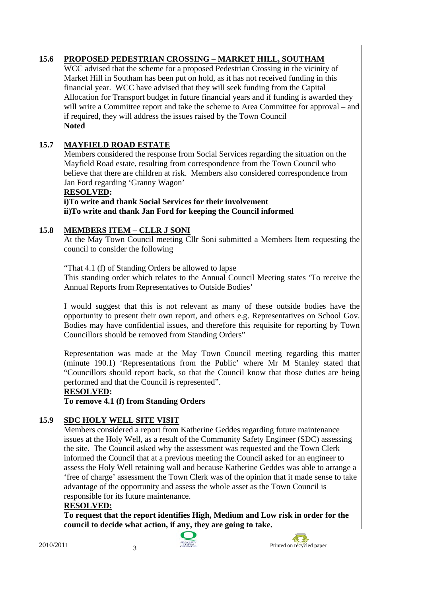## **15.6 PROPOSED PEDESTRIAN CROSSING – MARKET HILL, SOUTHAM**

WCC advised that the scheme for a proposed Pedestrian Crossing in the vicinity of Market Hill in Southam has been put on hold, as it has not received funding in this financial year. WCC have advised that they will seek funding from the Capital Allocation for Transport budget in future financial years and if funding is awarded they will write a Committee report and take the scheme to Area Committee for approval – and if required, they will address the issues raised by the Town Council **Noted** 

## **15.7 MAYFIELD ROAD ESTATE**

Members considered the response from Social Services regarding the situation on the Mayfield Road estate, resulting from correspondence from the Town Council who believe that there are children at risk. Members also considered correspondence from Jan Ford regarding 'Granny Wagon'

#### **RESOLVED:**

**i)To write and thank Social Services for their involvement ii)To write and thank Jan Ford for keeping the Council informed** 

## **15.8 MEMBERS ITEM – CLLR J SONI**

At the May Town Council meeting Cllr Soni submitted a Members Item requesting the council to consider the following

"That 4.1 (f) of Standing Orders be allowed to lapse

This standing order which relates to the Annual Council Meeting states 'To receive the Annual Reports from Representatives to Outside Bodies'

I would suggest that this is not relevant as many of these outside bodies have the opportunity to present their own report, and others e.g. Representatives on School Gov. Bodies may have confidential issues, and therefore this requisite for reporting by Town Councillors should be removed from Standing Orders"

Representation was made at the May Town Council meeting regarding this matter (minute 190.1) 'Representations from the Public' where Mr M Stanley stated that "Councillors should report back, so that the Council know that those duties are being performed and that the Council is represented".

#### **RESOLVED:**

**To remove 4.1 (f) from Standing Orders** 

## **15.9 SDC HOLY WELL SITE VISIT**

Members considered a report from Katherine Geddes regarding future maintenance issues at the Holy Well, as a result of the Community Safety Engineer (SDC) assessing the site. The Council asked why the assessment was requested and the Town Clerk informed the Council that at a previous meeting the Council asked for an engineer to assess the Holy Well retaining wall and because Katherine Geddes was able to arrange a 'free of charge' assessment the Town Clerk was of the opinion that it made sense to take advantage of the opportunity and assess the whole asset as the Town Council is responsible for its future maintenance.

#### **RESOLVED:**

**To request that the report identifies High, Medium and Low risk in order for the council to decide what action, if any, they are going to take.** 



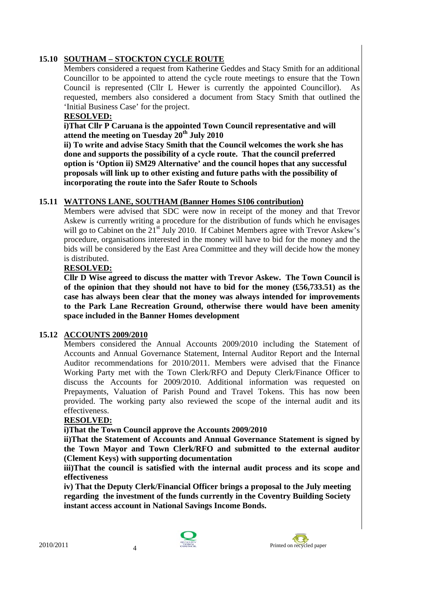#### **15.10 SOUTHAM – STOCKTON CYCLE ROUTE**

Members considered a request from Katherine Geddes and Stacy Smith for an additional Councillor to be appointed to attend the cycle route meetings to ensure that the Town Council is represented (Cllr L Hewer is currently the appointed Councillor). As requested, members also considered a document from Stacy Smith that outlined the 'Initial Business Case' for the project.

#### **RESOLVED:**

**i)That Cllr P Caruana is the appointed Town Council representative and will attend the meeting on Tuesday 20th July 2010** 

**ii) To write and advise Stacy Smith that the Council welcomes the work she has done and supports the possibility of a cycle route. That the council preferred option is 'Option ii) SM29 Alternative' and the council hopes that any successful proposals will link up to other existing and future paths with the possibility of incorporating the route into the Safer Route to Schools** 

#### **15.11 WATTONS LANE, SOUTHAM (Banner Homes S106 contribution)**

Members were advised that SDC were now in receipt of the money and that Trevor Askew is currently writing a procedure for the distribution of funds which he envisages will go to Cabinet on the 21<sup>st</sup> July 2010. If Cabinet Members agree with Trevor Askew's procedure, organisations interested in the money will have to bid for the money and the bids will be considered by the East Area Committee and they will decide how the money is distributed.

#### **RESOLVED:**

**Cllr D Wise agreed to discuss the matter with Trevor Askew. The Town Council is of the opinion that they should not have to bid for the money (£56,733.51) as the case has always been clear that the money was always intended for improvements to the Park Lane Recreation Ground, otherwise there would have been amenity space included in the Banner Homes development** 

#### **15.12 ACCOUNTS 2009/2010**

Members considered the Annual Accounts 2009/2010 including the Statement of Accounts and Annual Governance Statement, Internal Auditor Report and the Internal Auditor recommendations for 2010/2011. Members were advised that the Finance Working Party met with the Town Clerk/RFO and Deputy Clerk/Finance Officer to discuss the Accounts for 2009/2010. Additional information was requested on Prepayments, Valuation of Parish Pound and Travel Tokens. This has now been provided. The working party also reviewed the scope of the internal audit and its effectiveness.

#### **RESOLVED:**

**i)That the Town Council approve the Accounts 2009/2010** 

 **ii)That the Statement of Accounts and Annual Governance Statement is signed by the Town Mayor and Town Clerk/RFO and submitted to the external auditor (Clement Keys) with supporting documentation** 

 **iii)That the council is satisfied with the internal audit process and its scope and effectiveness** 

 **iv) That the Deputy Clerk/Financial Officer brings a proposal to the July meeting regarding the investment of the funds currently in the Coventry Building Society instant access account in National Savings Income Bonds.**



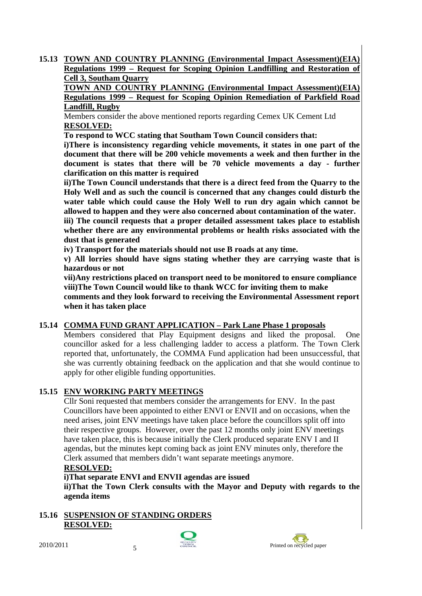**15.13 TOWN AND COUNTRY PLANNING (Environmental Impact Assessment)(EIA) Regulations 1999 – Request for Scoping Opinion Landfilling and Restoration of Cell 3, Southam Quarry**

 **TOWN AND COUNTRY PLANNING (Environmental Impact Assessment)(EIA) Regulations 1999 – Request for Scoping Opinion Remediation of Parkfield Road Landfill, Rugby**

Members consider the above mentioned reports regarding Cemex UK Cement Ltd **RESOLVED:**

**To respond to WCC stating that Southam Town Council considers that:** 

**i)There is inconsistency regarding vehicle movements, it states in one part of the document that there will be 200 vehicle movements a week and then further in the document is states that there will be 70 vehicle movements a day - further clarification on this matter is required** 

**ii)The Town Council understands that there is a direct feed from the Quarry to the Holy Well and as such the council is concerned that any changes could disturb the water table which could cause the Holy Well to run dry again which cannot be allowed to happen and they were also concerned about contamination of the water. iii) The council requests that a proper detailed assessment takes place to establish whether there are any environmental problems or health risks associated with the** 

**dust that is generated** 

**iv) Transport for the materials should not use B roads at any time.** 

**v) All lorries should have signs stating whether they are carrying waste that is hazardous or not** 

**vii)Any restrictions placed on transport need to be monitored to ensure compliance viii)The Town Council would like to thank WCC for inviting them to make** 

**comments and they look forward to receiving the Environmental Assessment report when it has taken place** 

## **15.14 COMMA FUND GRANT APPLICATION – Park Lane Phase 1 proposals**

 Members considered that Play Equipment designs and liked the proposal. One councillor asked for a less challenging ladder to access a platform. The Town Clerk reported that, unfortunately, the COMMA Fund application had been unsuccessful, that she was currently obtaining feedback on the application and that she would continue to apply for other eligible funding opportunities.

## **15.15 ENV WORKING PARTY MEETINGS**

Cllr Soni requested that members consider the arrangements for ENV. In the past Councillors have been appointed to either ENVI or ENVII and on occasions, when the need arises, joint ENV meetings have taken place before the councillors split off into their respective groups. However, over the past 12 months only joint ENV meetings have taken place, this is because initially the Clerk produced separate ENV I and II agendas, but the minutes kept coming back as joint ENV minutes only, therefore the Clerk assumed that members didn't want separate meetings anymore.

#### **RESOLVED:**

**i)That separate ENVI and ENVII agendas are issued** 

 **ii)That the Town Clerk consults with the Mayor and Deputy with regards to the agenda items** 

## **15.16 SUSPENSION OF STANDING ORDERS RESOLVED:**



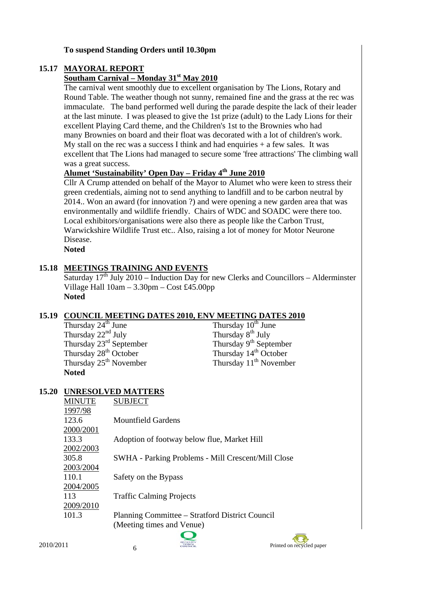#### **To suspend Standing Orders until 10.30pm**

## **15.17 MAYORAL REPORT**

## **Southam Carnival – Monday 31st May 2010**

The carnival went smoothly due to excellent organisation by The Lions, Rotary and Round Table. The weather though not sunny, remained fine and the grass at the rec was immaculate. The band performed well during the parade despite the lack of their leader at the last minute. I was pleased to give the 1st prize (adult) to the Lady Lions for their excellent Playing Card theme, and the Children's 1st to the Brownies who had many Brownies on board and their float was decorated with a lot of children's work. My stall on the rec was a success I think and had enquiries  $+$  a few sales. It was excellent that The Lions had managed to secure some 'free attractions' The climbing wall was a great success.

# **Alumet 'Sustainability' Open Day – Friday 4th June 2010**

Cllr A Crump attended on behalf of the Mayor to Alumet who were keen to stress their green credentials, aiming not to send anything to landfill and to be carbon neutral by 2014.. Won an award (for innovation ?) and were opening a new garden area that was environmentally and wildlife friendly. Chairs of WDC and SOADC were there too. Local exhibitors/organisations were also there as people like the Carbon Trust, Warwickshire Wildlife Trust etc.. Also, raising a lot of money for Motor Neurone Disease.

**Noted** 

## **15.18 MEETINGS TRAINING AND EVENTS**

Saturday  $17<sup>th</sup>$  July 2010 – Induction Day for new Clerks and Councillors – Alderminster Village Hall 10am – 3.30pm – Cost £45.00pp **Noted** 

# **15.19 COUNCIL MEETING DATES 2010, ENV MEETING DATES 2010**<br>Thursday  $24^{\text{th}}$  June Thursday  $10^{\text{th}}$  June

Thursday 22<sup>nd</sup> July<br>Thursday 2<sup>3rd</sup> September<br>Thursday 9<sup>th</sup> September<br>Thursday 9<sup>th</sup> September Thursday  $23^{\text{rd}}$  September<br>Thursday  $28^{\text{th}}$  October<br>Thursday  $14^{\text{th}}$  October<br>Thursday  $14^{\text{th}}$  October Thursday  $28^{th}$  October<br>Thursday  $25^{th}$  November **Noted** 

Thursday  $10^{th}$  June Thursday  $11^{th}$  November

#### **15.20 UNRESOLVED MATTERS**

| <b>MINUTE</b> | <b>SUBJECT</b>                                     |  |  |  |  |  |
|---------------|----------------------------------------------------|--|--|--|--|--|
| 1997/98       |                                                    |  |  |  |  |  |
| 123.6         | Mountfield Gardens                                 |  |  |  |  |  |
| 2000/2001     |                                                    |  |  |  |  |  |
| 133.3         | Adoption of footway below flue, Market Hill        |  |  |  |  |  |
| 2002/2003     |                                                    |  |  |  |  |  |
| 305.8         | SWHA - Parking Problems - Mill Crescent/Mill Close |  |  |  |  |  |
| 2003/2004     |                                                    |  |  |  |  |  |
| 110.1         | Safety on the Bypass                               |  |  |  |  |  |
| 2004/2005     |                                                    |  |  |  |  |  |
| 113           | <b>Traffic Calming Projects</b>                    |  |  |  |  |  |
| 2009/2010     |                                                    |  |  |  |  |  |
| 101.3         | Planning Committee – Stratford District Council    |  |  |  |  |  |
|               | (Meeting times and Venue)                          |  |  |  |  |  |
|               |                                                    |  |  |  |  |  |



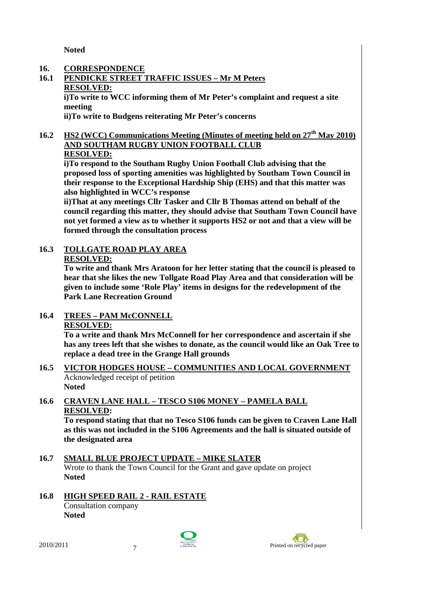**Noted** 

#### **16. CORRESPONDENCE**

**16.1 PENDICKE STREET TRAFFIC ISSUES – Mr M Peters RESOLVED: i)To write to WCC informing them of Mr Peter's complaint and request a site meeting** 

 **ii)To write to Budgens reiterating Mr Peter's concerns** 

**16.2 HS2 (WCC) Communications Meeting (Minutes of meeting held on 27th May 2010) AND SOUTHAM RUGBY UNION FOOTBALL CLUB**

# **RESOLVED:**

**i)To respond to the Southam Rugby Union Football Club advising that the proposed loss of sporting amenities was highlighted by Southam Town Council in their response to the Exceptional Hardship Ship (EHS) and that this matter was also highlighted in WCC's response** 

**ii)That at any meetings Cllr Tasker and Cllr B Thomas attend on behalf of the council regarding this matter, they should advise that Southam Town Council have not yet formed a view as to whether it supports HS2 or not and that a view will be formed through the consultation process** 

## **16.3 TOLLGATE ROAD PLAY AREA**

#### **RESOLVED:**

**To write and thank Mrs Aratoon for her letter stating that the council is pleased to hear that she likes the new Tollgate Road Play Area and that consideration will be given to include some 'Role Play' items in designs for the redevelopment of the Park Lane Recreation Ground** 

#### **16.4 TREES – PAM McCONNELL RESOLVED:**

**To a write and thank Mrs McConnell for her correspondence and ascertain if she has any trees left that she wishes to donate, as the council would like an Oak Tree to replace a dead tree in the Grange Hall grounds** 

- **16.5 VICTOR HODGES HOUSE COMMUNITIES AND LOCAL GOVERNMENT**  Acknowledged receipt of petition
	- **Noted**

## **16.6 CRAVEN LANE HALL – TESCO S106 MONEY – PAMELA BALL RESOLVED:**

**To respond stating that that no Tesco S106 funds can be given to Craven Lane Hall as this was not included in the S106 Agreements and the hall is situated outside of the designated area** 

**16.8 HIGH SPEED RAIL 2 - RAIL ESTATE** Consultation company **Noted** 





**<sup>16.7</sup> SMALL BLUE PROJECT UPDATE – MIKE SLATER** Wrote to thank the Town Council for the Grant and gave update on project **Noted**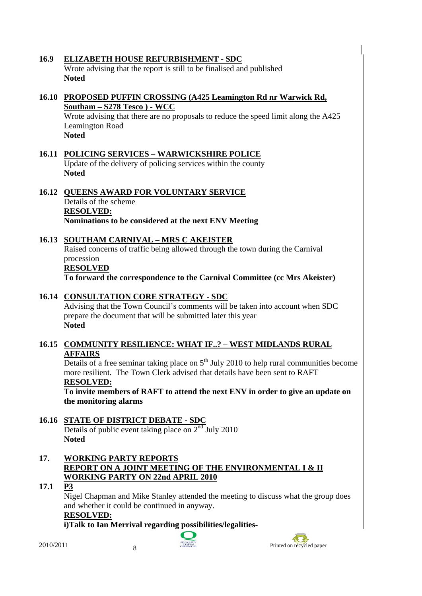## **16.9 ELIZABETH HOUSE REFURBISHMENT - SDC**

Wrote advising that the report is still to be finalised and published **Noted** 

#### **16.10 PROPOSED PUFFIN CROSSING (A425 Leamington Rd nr Warwick Rd, Southam – S278 Tesco ) - WCC**

Wrote advising that there are no proposals to reduce the speed limit along the A425 Leamington Road **Noted** 

**16.11 POLICING SERVICES – WARWICKSHIRE POLICE** Update of the delivery of policing services within the county **Noted** 

## **16.12 QUEENS AWARD FOR VOLUNTARY SERVICE** Details of the scheme **RESOLVED:**

**Nominations to be considered at the next ENV Meeting** 

## **16.13 SOUTHAM CARNIVAL – MRS C AKEISTER**

Raised concerns of traffic being allowed through the town during the Carnival procession

#### **RESOLVED**

 **To forward the correspondence to the Carnival Committee (cc Mrs Akeister)** 

## **16.14 CONSULTATION CORE STRATEGY - SDC**

 Advising that the Town Council's comments will be taken into account when SDC prepare the document that will be submitted later this year **Noted** 

#### **16.15 COMMUNITY RESILIENCE: WHAT IF..? – WEST MIDLANDS RURAL AFFAIRS**

Details of a free seminar taking place on  $5<sup>th</sup>$  July 2010 to help rural communities become more resilient. The Town Clerk advised that details have been sent to RAFT **RESOLVED:**

**To invite members of RAFT to attend the next ENV in order to give an update on the monitoring alarms** 

#### **16.16 STATE OF DISTRICT DEBATE - SDC** Details of public event taking place on  $2<sup>nd</sup>$  July 2010 **Noted**

## **17. WORKING PARTY REPORTS REPORT ON A JOINT MEETING OF THE ENVIRONMENTAL I & II WORKING PARTY ON 22nd APRIL 2010**

## **17.1 P3**

Nigel Chapman and Mike Stanley attended the meeting to discuss what the group does and whether it could be continued in anyway.

## **RESOLVED:**

**i)Talk to Ian Merrival regarding possibilities/legalities-** 



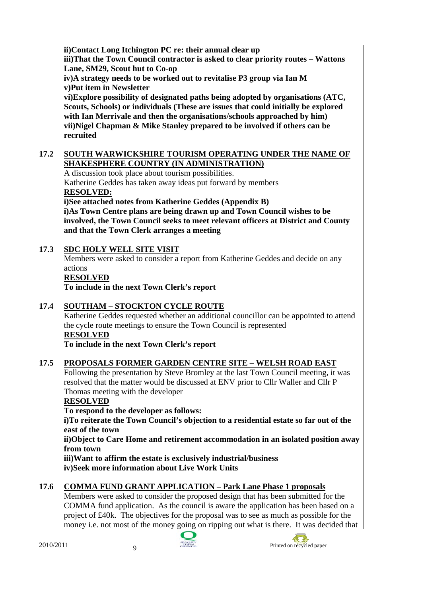**ii)Contact Long Itchington PC re: their annual clear up** 

**iii)That the Town Council contractor is asked to clear priority routes – Wattons Lane, SM29, Scout hut to Co-op** 

**iv)A strategy needs to be worked out to revitalise P3 group via Ian M v)Put item in Newsletter** 

**vi)Explore possibility of designated paths being adopted by organisations (ATC, Scouts, Schools) or individuals (These are issues that could initially be explored with Ian Merrivale and then the organisations/schools approached by him) vii)Nigel Chapman & Mike Stanley prepared to be involved if others can be recruited** 

#### **17.2 SOUTH WARWICKSHIRE TOURISM OPERATING UNDER THE NAME OF SHAKESPHERE COUNTRY (IN ADMINISTRATION)**

A discussion took place about tourism possibilities.

Katherine Geddes has taken away ideas put forward by members **RESOLVED:**

**i)See attached notes from Katherine Geddes (Appendix B)** 

**i)As Town Centre plans are being drawn up and Town Council wishes to be involved, the Town Council seeks to meet relevant officers at District and County and that the Town Clerk arranges a meeting** 

## **17.3 SDC HOLY WELL SITE VISIT**

Members were asked to consider a report from Katherine Geddes and decide on any actions

## **RESOLVED**

**To include in the next Town Clerk's report** 

## **17.4 SOUTHAM – STOCKTON CYCLE ROUTE**

Katherine Geddes requested whether an additional councillor can be appointed to attend the cycle route meetings to ensure the Town Council is represented

## **RESOLVED**

**To include in the next Town Clerk's report** 

## **17.5 PROPOSALS FORMER GARDEN CENTRE SITE – WELSH ROAD EAST**

Following the presentation by Steve Bromley at the last Town Council meeting, it was resolved that the matter would be discussed at ENV prior to Cllr Waller and Cllr P Thomas meeting with the developer

## **RESOLVED**

**To respond to the developer as follows:** 

**i)To reiterate the Town Council's objection to a residential estate so far out of the east of the town** 

**ii)Object to Care Home and retirement accommodation in an isolated position away from town** 

**iii)Want to affirm the estate is exclusively industrial/business iv)Seek more information about Live Work Units** 

## **17.6 COMMA FUND GRANT APPLICATION – Park Lane Phase 1 proposals**

Members were asked to consider the proposed design that has been submitted for the COMMA fund application. As the council is aware the application has been based on a project of £40k. The objectives for the proposal was to see as much as possible for the money i.e. not most of the money going on ripping out what is there. It was decided that



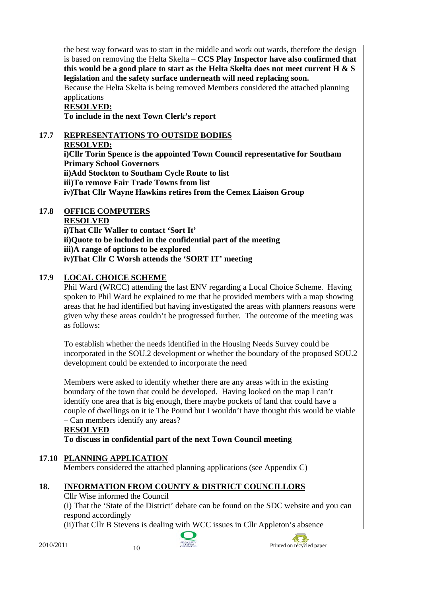the best way forward was to start in the middle and work out wards, therefore the design is based on removing the Helta Skelta – **CCS Play Inspector have also confirmed that this would be a good place to start as the Helta Skelta does not meet current H & S legislation** and **the safety surface underneath will need replacing soon.** 

Because the Helta Skelta is being removed Members considered the attached planning applications

# **RESOLVED:**

 **To include in the next Town Clerk's report** 

#### **17.7 REPRESENTATIONS TO OUTSIDE BODIES**

#### **RESOLVED:**

**i)Cllr Torin Spence is the appointed Town Council representative for Southam Primary School Governors ii)Add Stockton to Southam Cycle Route to list iii)To remove Fair Trade Towns from list iv)That Cllr Wayne Hawkins retires from the Cemex Liaison Group** 

## **17.8 OFFICE COMPUTERS**

 **RESOLVED i)That Cllr Waller to contact 'Sort It'** 

**ii)Quote to be included in the confidential part of the meeting iii)A range of options to be explored iv)That Cllr C Worsh attends the 'SORT IT' meeting** 

## **17.9 LOCAL CHOICE SCHEME**

Phil Ward (WRCC) attending the last ENV regarding a Local Choice Scheme. Having spoken to Phil Ward he explained to me that he provided members with a map showing areas that he had identified but having investigated the areas with planners reasons were given why these areas couldn't be progressed further. The outcome of the meeting was as follows:

To establish whether the needs identified in the Housing Needs Survey could be incorporated in the SOU.2 development or whether the boundary of the proposed SOU.2 development could be extended to incorporate the need

Members were asked to identify whether there are any areas with in the existing boundary of the town that could be developed. Having looked on the map I can't identify one area that is big enough, there maybe pockets of land that could have a couple of dwellings on it ie The Pound but I wouldn't have thought this would be viable – Can members identify any areas?

#### **RESOLVED To discuss in confidential part of the next Town Council meeting**

## **17.10 PLANNING APPLICATION**

Members considered the attached planning applications (see Appendix C)

# **18. INFORMATION FROM COUNTY & DISTRICT COUNCILLORS**

## Cllr Wise informed the Council

(i) That the 'State of the District' debate can be found on the SDC website and you can respond accordingly

(ii)That Cllr B Stevens is dealing with WCC issues in Cllr Appleton's absence



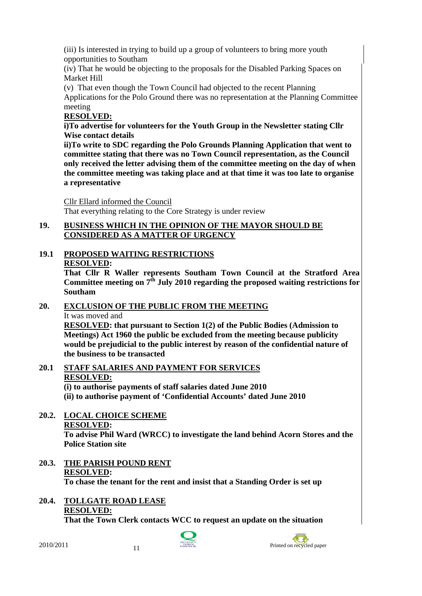(iii) Is interested in trying to build up a group of volunteers to bring more youth opportunities to Southam

(iv) That he would be objecting to the proposals for the Disabled Parking Spaces on Market Hill

(v) That even though the Town Council had objected to the recent Planning

Applications for the Polo Ground there was no representation at the Planning Committee meeting

## **RESOLVED:**

**i)To advertise for volunteers for the Youth Group in the Newsletter stating Cllr Wise contact details** 

**ii)To write to SDC regarding the Polo Grounds Planning Application that went to committee stating that there was no Town Council representation, as the Council only received the letter advising them of the committee meeting on the day of when the committee meeting was taking place and at that time it was too late to organise a representative** 

Cllr Ellard informed the Council That everything relating to the Core Strategy is under review

#### **19. BUSINESS WHICH IN THE OPINION OF THE MAYOR SHOULD BE CONSIDERED AS A MATTER OF URGENCY**

# **19.1 PROPOSED WAITING RESTRICTIONS RESOLVED:**

**That Cllr R Waller represents Southam Town Council at the Stratford Area**  Committee meeting on  $7<sup>th</sup>$  July 2010 regarding the proposed waiting restrictions for **Southam** 

# **20. EXCLUSION OF THE PUBLIC FROM THE MEETING**

It was moved and

**RESOLVED: that pursuant to Section 1(2) of the Public Bodies (Admission to Meetings) Act 1960 the public be excluded from the meeting because publicity would be prejudicial to the public interest by reason of the confidential nature of the business to be transacted** 

**20.1 STAFF SALARIES AND PAYMENT FOR SERVICES RESOLVED:**

**(i) to authorise payments of staff salaries dated June 2010** 

**(ii) to authorise payment of 'Confidential Accounts' dated June 2010** 

#### **20.2. LOCAL CHOICE SCHEME RESOLVED:**

**To advise Phil Ward (WRCC) to investigate the land behind Acorn Stores and the Police Station site** 

**20.3. THE PARISH POUND RENT RESOLVED: To chase the tenant for the rent and insist that a Standing Order is set up** 

# **20.4. TOLLGATE ROAD LEASE RESOLVED:**

**That the Town Clerk contacts WCC to request an update on the situation** 



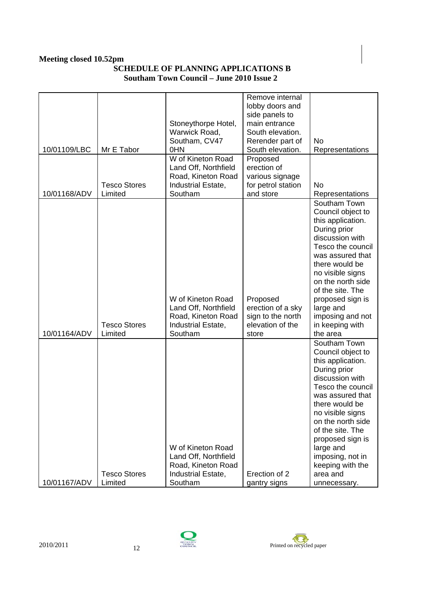#### **Meeting closed 10.52pm SCHEDULE OF PLANNING APPLICATIONS B Southam Town Council – June 2010 Issue 2**

|              |                     |                      | Remove internal    |                   |
|--------------|---------------------|----------------------|--------------------|-------------------|
|              |                     |                      | lobby doors and    |                   |
|              |                     |                      | side panels to     |                   |
|              |                     | Stoneythorpe Hotel,  | main entrance      |                   |
|              |                     | Warwick Road,        | South elevation.   |                   |
|              |                     | Southam, CV47        | Rerender part of   | No                |
| 10/01109/LBC | Mr E Tabor          | 0HN                  | South elevation.   | Representations   |
|              |                     | W of Kineton Road    | Proposed           |                   |
|              |                     | Land Off, Northfield | erection of        |                   |
|              |                     | Road, Kineton Road   | various signage    |                   |
|              | <b>Tesco Stores</b> | Industrial Estate,   | for petrol station | <b>No</b>         |
| 10/01168/ADV | Limited             | Southam              | and store          | Representations   |
|              |                     |                      |                    | Southam Town      |
|              |                     |                      |                    | Council object to |
|              |                     |                      |                    | this application. |
|              |                     |                      |                    | During prior      |
|              |                     |                      |                    | discussion with   |
|              |                     |                      |                    | Tesco the council |
|              |                     |                      |                    | was assured that  |
|              |                     |                      |                    | there would be    |
|              |                     |                      |                    | no visible signs  |
|              |                     |                      |                    | on the north side |
|              |                     |                      |                    | of the site. The  |
|              |                     | W of Kineton Road    | Proposed           | proposed sign is  |
|              |                     | Land Off, Northfield | erection of a sky  | large and         |
|              |                     | Road, Kineton Road   | sign to the north  | imposing and not  |
|              | <b>Tesco Stores</b> | Industrial Estate,   | elevation of the   | in keeping with   |
| 10/01164/ADV | Limited             | Southam              | store              | the area          |
|              |                     |                      |                    | Southam Town      |
|              |                     |                      |                    | Council object to |
|              |                     |                      |                    | this application. |
|              |                     |                      |                    | During prior      |
|              |                     |                      |                    | discussion with   |
|              |                     |                      |                    | Tesco the council |
|              |                     |                      |                    | was assured that  |
|              |                     |                      |                    | there would be    |
|              |                     |                      |                    | no visible signs  |
|              |                     |                      |                    | on the north side |
|              |                     |                      |                    | of the site. The  |
|              |                     |                      |                    | proposed sign is  |
|              |                     | W of Kineton Road    |                    | large and         |
|              |                     | Land Off, Northfield |                    | imposing, not in  |
|              |                     | Road, Kineton Road   |                    | keeping with the  |
|              | <b>Tesco Stores</b> | Industrial Estate,   | Erection of 2      | area and          |
| 10/01167/ADV | Limited             | Southam              | gantry signs       | unnecessary.      |